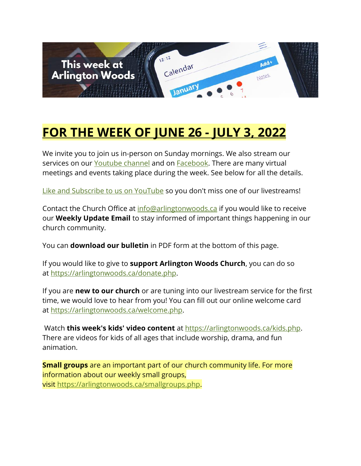

# **FOR THE WEEK OF JUNE 26 - JULY 3, 2022**

We invite you to join us in-person on Sunday mornings. We also stream our services on our [Youtube channel](https://www.youtube.com/channel/UCN0jh5__-PL-Mpw_3v-4lMg) and on **Facebook**. There are many virtual meetings and events taking place during the week. See below for all the details.

[Like and Subscribe to us on YouTube](http://www.youtube.com/ArlingtonWoodsChurch) so you don't miss one of our livestreams!

Contact the Church Office at [info@arlingtonwoods.ca](mailto:info@arlingtonwoods.ca) if you would like to receive our **Weekly Update Email** to stay informed of important things happening in our church community.

You can **download our bulletin** in PDF form at the bottom of this page.

If you would like to give to **support Arlington Woods Church**, you can do so at [https://arlingtonwoods.ca/donate.php.](https://arlingtonwoods.ca/donate.php)

If you are **new to our church** or are tuning into our livestream service for the first time, we would love to hear from you! You can fill out our online welcome card at [https://arlingtonwoods.ca/welcome.php.](https://arlingtonwoods.ca/welcome.php)

Watch **this week's kids' video content** at [https://arlingtonwoods.ca/kids.php.](https://arlingtonwoods.ca/kids.php) There are videos for kids of all ages that include worship, drama, and fun animation.

**Small groups** are an important part of our church community life. For more information about our weekly small groups, visit [https://arlingtonwoods.ca/smallgroups.php.](https://arlingtonwoods.ca/smallgroups.php)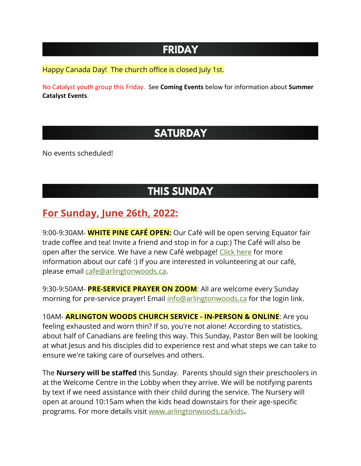### **FRIDAY**

Happy Canada Day! The church office is closed July 1st.

No Catalyst youth group this Friday. See **Coming Events** below for information about **Summer Catalyst Events**.

## **SATURDAY**

No events scheduled!

## **THIS SUNDAY**

#### **For Sunday, June 26th, 2022:**

9:00-9:30AM- **WHITE PINE CAFÉ OPEN:** Our Café will be open serving Equator fair trade coffee and tea! Invite a friend and stop in for a cup:) The Café will also be open after the service. We have a new Café webpage! [Click here](https://arlingtonwoods.ca/cafe.php) for more information about our café :) If you are interested in volunteering at our café, please email [cafe@arlingtonwoods.ca.](mailto:cafe@arlingtonwoods.ca)

9:30-9:50AM- **PRE-SERVICE PRAYER ON ZOOM**: All are welcome every Sunday morning for pre-service prayer! Email [info@arlingtonwoods.ca](mailto:info@arlingtonwoods.ca) for the login link.

10AM- **ARLINGTON WOODS CHURCH SERVICE - IN-PERSON & ONLINE**: Are you feeling exhausted and worn thin? If so, you're not alone! According to statistics, about half of Canadians are feeling this way. This Sunday, Pastor Ben will be looking at what Jesus and his disciples did to experience rest and what steps we can take to ensure we're taking care of ourselves and others.

The **Nursery will be staffed** this Sunday. Parents should sign their preschoolers in at the Welcome Centre in the Lobby when they arrive. We will be notifying parents by text if we need assistance with their child during the service. The Nursery will open at around 10:15am when the kids head downstairs for their age-specific programs. For more details visit [www.arlingtonwoods.ca/kids](http://www.arlingtonwoods.ca/kids)**.**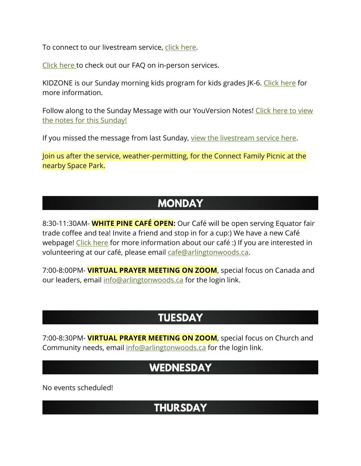To connect to our livestream service, [click here.](https://www.youtube.com/watch?v=hDEX1TUcpfQ)

[Click here](http://www.arlingtonwoods.ca/sundayfaq.php) to check out our FAQ on in-person services.

KIDZONE is our Sunday morning kids program for kids grades JK-6. [Click here](http://www.arlingtonwoods.ca/kids) for more information.

Follow along to the Sunday Message with our YouVersion Notes! Click here to view [the notes for this Sunday!](http://bible.com/events/48911847)

If you missed the message from last Sunday, [view the livestream service here.](https://www.youtube.com/watch?v=hDEX1TUcpfQ&ab_channel=ArlingtonWoodsChurch)

Join us after the service, weather-permitting, for the Connect Family Picnic at the nearby Space Park.

#### **MONDAY**

8:30-11:30AM- **WHITE PINE CAFÉ OPEN:** Our Café will be open serving Equator fair trade coffee and tea! Invite a friend and stop in for a cup:) We have a new Café webpage! [Click here](https://arlingtonwoods.ca/cafe.php) for more information about our café :) If you are interested in volunteering at our café, please email [cafe@arlingtonwoods.ca.](mailto:cafe@arlingtonwoods.ca)

7:00-8:00PM- **VIRTUAL PRAYER MEETING ON ZOOM**, special focus on Canada and our leaders, email [info@arlingtonwoods.ca](mailto:info@arlingtonwoods.ca) for the login link.

### **TUESDAY**

7:00-8:30PM- **VIRTUAL PRAYER MEETING ON ZOOM**, special focus on Church and Community needs, email [info@arlingtonwoods.ca](mailto:info@arlingtonwoods.ca) for the login link.

#### **WEDNESDAY**

No events scheduled!

#### **THURSDAY**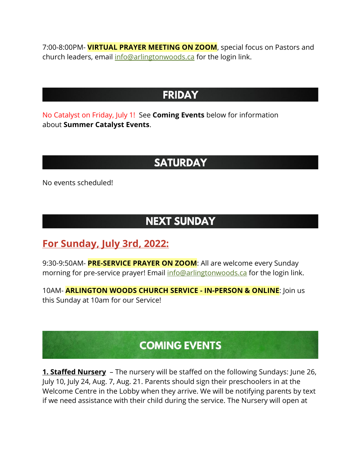7:00-8:00PM- **VIRTUAL PRAYER MEETING ON ZOOM**, special focus on Pastors and church leaders, email [info@arlingtonwoods.ca](mailto:info@arlingtonwoods.ca) for the login link.

#### **FRIDAY**

No Catalyst on Friday, July 1! See **Coming Events** below for information about **Summer Catalyst Events**.

### **SATURDAY**

No events scheduled!

### **NEXT SUNDAY**

#### **For Sunday, July 3rd, 2022:**

9:30-9:50AM- **PRE-SERVICE PRAYER ON ZOOM**: All are welcome every Sunday morning for pre-service prayer! Email [info@arlingtonwoods.ca](mailto:info@arlingtonwoods.ca) for the login link.

10AM- **ARLINGTON WOODS CHURCH SERVICE - IN-PERSON & ONLINE**: Join us this Sunday at 10am for our Service!

## **COMING EVENTS**

**1. Staffed Nursery** – The nursery will be staffed on the following Sundays: June 26, July 10, July 24, Aug. 7, Aug. 21. Parents should sign their preschoolers in at the Welcome Centre in the Lobby when they arrive. We will be notifying parents by text if we need assistance with their child during the service. The Nursery will open at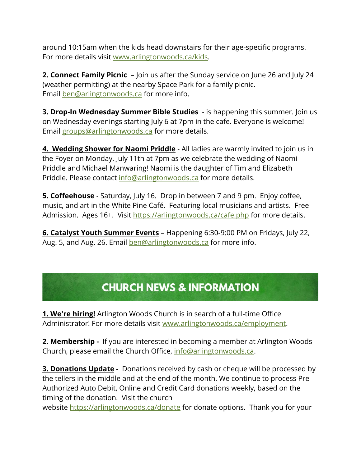around 10:15am when the kids head downstairs for their age-specific programs. For more details visit [www.arlingtonwoods.ca/kids.](http://www.arlingtonwoods.ca/kids)

**2. Connect Family Picnic** – Join us after the Sunday service on June 26 and July 24 (weather permitting) at the nearby Space Park for a family picnic. Email [ben@arlingtonwoods.ca](mailto:ben@arlingtonwoods.ca) for more info.

**3. Drop-In Wednesday Summer Bible Studies** - is happening this summer. Join us on Wednesday evenings starting July 6 at 7pm in the cafe. Everyone is welcome! Email [groups@arlingtonwoods.ca](mailto:groups@arlingtonwoods.ca) for more details.

**4. Wedding Shower for Naomi Priddle** - All ladies are warmly invited to join us in the Foyer on Monday, July 11th at 7pm as we celebrate the wedding of Naomi Priddle and Michael Manwaring! Naomi is the daughter of Tim and Elizabeth Priddle. Please contact [info@arlingtonwoods.ca](mailto:info@arlingtonwoods.ca) for more details.

**5. Coffeehouse** - Saturday, July 16. Drop in between 7 and 9 pm. Enjoy coffee, music, and art in the White Pine Café. Featuring local musicians and artists. Free Admission. Ages 16+. Visit <https://arlingtonwoods.ca/cafe.php> for more details.

**6. Catalyst Youth Summer Events** – Happening 6:30-9:00 PM on Fridays, July 22, Aug. 5, and Aug. 26. Email **[ben@arlingtonwoods.ca](mailto:ben@arlingtonwoods.ca)** for more info.

## **CHURCH NEWS & INFORMATION**

**1. We're hiring!** Arlington Woods Church is in search of a full-time Office Administrator! For more details visit [www.arlingtonwoods.ca/employment.](http://www.arlingtonwoods.ca/employment?fbclid=IwAR13rOdWVp8ZXfwcV4tYnlHueuujxJ4vd7HYpZRM6FMJXVNJ8qapzjr-gjs)

**2. Membership -** If you are interested in becoming a member at Arlington Woods Church, please email the Church Office, [info@arlingtonwoods.ca.](mailto:info@arlingtonwoods.ca)

**3. Donations Update -** Donations received by cash or cheque will be processed by the tellers in the middle and at the end of the month. We continue to process Pre-Authorized Auto Debit, Online and Credit Card donations weekly, based on the timing of the donation. Visit the church

website <https://arlingtonwoods.ca/donate> for donate options. Thank you for your